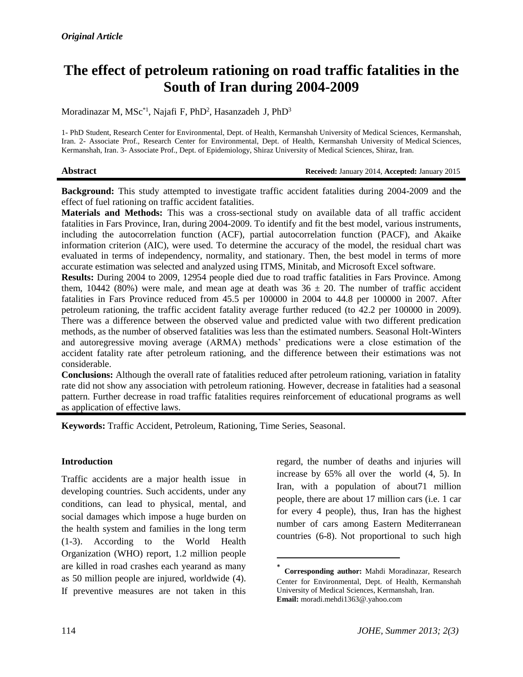# **The effect of petroleum rationing on road traffic fatalities in the South of Iran during 2004-2009**

Moradinazar M, MSc<sup>\*1</sup>, Najafi F, PhD<sup>2</sup>, Hasanzadeh J, PhD<sup>3</sup>

1- PhD Student, Research Center for Environmental, Dept. of Health, Kermanshah University of Medical Sciences, Kermanshah, Iran. 2- Associate Prof., Research Center for Environmental, Dept. of Health, Kermanshah University of Medical Sciences, Kermanshah, Iran. 3- Associate Prof., Dept. of Epidemiology, Shiraz University of Medical Sciences, Shiraz, Iran.

**Abstract Received:** January 2014, **Accepted:** January 2015

**Background:** This study attempted to investigate traffic accident fatalities during 2004-2009 and the effect of fuel rationing on traffic accident fatalities.

**Materials and Methods:** This was a cross-sectional study on available data of all traffic accident fatalities in Fars Province, Iran, during 2004-2009. To identify and fit the best model, various instruments, including the autocorrelation function (ACF), partial autocorrelation function (PACF), and Akaike information criterion (AIC), were used. To determine the accuracy of the model, the residual chart was evaluated in terms of independency, normality, and stationary. Then, the best model in terms of more accurate estimation was selected and analyzed using ITMS, Minitab, and Microsoft Excel software.

**Results:** During 2004 to 2009, 12954 people died due to road traffic fatalities in Fars Province. Among them, 10442 (80%) were male, and mean age at death was  $36 \pm 20$ . The number of traffic accident fatalities in Fars Province reduced from 45.5 per 100000 in 2004 to 44.8 per 100000 in 2007. After petroleum rationing, the traffic accident fatality average further reduced (to 42.2 per 100000 in 2009). There was a difference between the observed value and predicted value with two different predication methods, as the number of observed fatalities was less than the estimated numbers. Seasonal Holt-Winters and autoregressive moving average (ARMA) methods' predications were a close estimation of the accident fatality rate after petroleum rationing, and the difference between their estimations was not considerable.

**Conclusions:** Although the overall rate of fatalities reduced after petroleum rationing, variation in fatality rate did not show any association with petroleum rationing. However, decrease in fatalities had a seasonal pattern. Further decrease in road traffic fatalities requires reinforcement of educational programs as well as application of effective laws.

 $\overline{\phantom{a}}$ 

**Keywords:** Traffic Accident, Petroleum, Rationing, Time Series, Seasonal.

### **Introduction**

Traffic accidents are a major health issue in developing countries. Such accidents, under any conditions, can lead to physical, mental, and social damages which impose a huge burden on the health system and families in the long term [\(1-3\)](#page-5-0). According to the World Health Organization (WHO) report, 1.2 million people are killed in road crashes each yearand as many as 50 million people are injured, worldwide [\(4\)](#page-5-1). If preventive measures are not taken in this

regard, the number of deaths and injuries will increase by 65% all over the world [\(4,](#page-5-1) [5\)](#page-5-2). In Iran, with a population of about71 million people, there are about 17 million cars (i.e. 1 car for every 4 people), thus, Iran has the highest number of cars among Eastern Mediterranean countries [\(6-8\)](#page-5-3). Not proportional to such high

<sup>\*</sup> **Corresponding author:** [Mahdi Moradinaza](http://johe.rums.ac.ir/search.php?slc_lang=en&sid=1&auth=Moradinazar)r, Research Center for Environmental, Dept. of Health, Kermanshah University of Medical Sciences, Kermanshah, Iran. **Email:** moradi.mehdi1363@.yahoo.com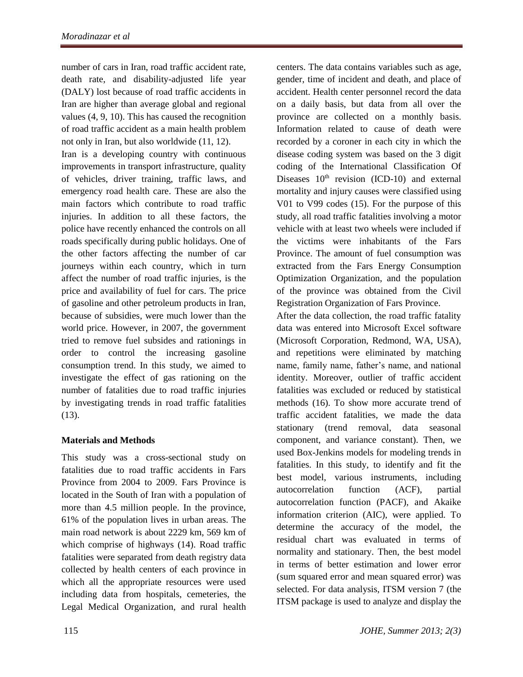number of cars in Iran, road traffic accident rate, death rate, and [disability-adjusted life](http://www.google.com/url?sa=t&rct=j&q=dalys&source=web&cd=1&cad=rja&uact=8&sqi=2&ved=0CCUQFjAA&url=http%3A%2F%2Fen.wikipedia.org%2Fwiki%2FDisability-adjusted_life_year&ei=uoJfU5HZIcaOtQbC3IC4CA&usg=AFQjCNEmdyEiU3j363Fmt1zISPUfuWR7fw&sig2=GHlU4uFwlbEkvf6BueWHgg&bvm=bv.65636070,d.Yms) year (DALY) lost because of road traffic accidents in Iran are higher than average global and regional values [\(4,](#page-5-1) [9,](#page-5-4) [10\)](#page-5-5). This has caused the recognition of road traffic accident as a main health problem not only in Iran, but also worldwide [\(11,](#page-5-6) [12\)](#page-5-7).

Iran is a developing country with continuous improvements in transport infrastructure, quality of vehicles, driver training, traffic laws, and emergency road health care. These are also the main factors which contribute to road traffic injuries. In addition to all these factors, the police have recently enhanced the controls on all roads specifically during public holidays. One of the other factors affecting the number of car journeys within each country, which in turn affect the number of road traffic injuries, is the price and availability of fuel for cars. The price of gasoline and other petroleum products in Iran, because of subsidies, were much lower than the world price. However, in 2007, the government tried to remove fuel subsides and rationings in order to control the increasing gasoline consumption trend. In this study, we aimed to investigate the effect of gas rationing on the number of fatalities due to road traffic injuries by investigating trends in road traffic fatalities [\(13\)](#page-5-8).

## **Materials and Methods**

This study was a cross-sectional study on fatalities due to road traffic accidents in Fars Province from 2004 to 2009. Fars Province is located in the South of Iran with a population of more than 4.5 million people. In the province, 61% of the population lives in urban areas. The main road network is about 2229 km, 569 km of which comprise of highways [\(14\)](#page-5-9). Road traffic fatalities were separated from death registry data collected by health centers of each province in which all the appropriate resources were used including data from hospitals, cemeteries, the Legal Medical Organization, and rural health centers. The data contains variables such as age, gender, time of incident and death, and place of accident. Health center personnel record the data on a daily basis, but data from all over the province are collected on a monthly basis. Information related to cause of death were recorded by a coroner in each city in which the disease coding system was based on the 3 digit coding of the International Classification Of Diseases  $10<sup>th</sup>$  revision (ICD-10) and external mortality and injury causes were classified using V01 to V99 codes [\(15\)](#page-5-10). For the purpose of this study, all road traffic fatalities involving a motor vehicle with at least two wheels were included if the victims were inhabitants of the Fars Province. The amount of fuel consumption was extracted from the Fars Energy Consumption Optimization Organization, and the population of the province was obtained from the Civil Registration Organization of Fars Province.

After the data collection, the road traffic fatality data was entered into Microsoft Excel software (Microsoft Corporation, Redmond, WA, USA), and repetitions were eliminated by matching name, family name, father's name, and national identity. Moreover, outlier of traffic accident fatalities was excluded or reduced by statistical methods [\(16\)](#page-5-11). To show more accurate trend of traffic accident fatalities, we made the data stationary (trend removal, data seasonal component, and variance constant). Then, we used Box-Jenkins models for modeling trends in fatalities. In this study, to identify and fit the best model, various instruments, including autocorrelation function (ACF), partial autocorrelation function (PACF), and Akaike information criterion (AIC), were applied. To determine the accuracy of the model, the residual chart was evaluated in terms of normality and stationary. Then, the best model in terms of better estimation and lower error (sum squared error and mean squared error) was selected. For data analysis, ITSM version 7 (the ITSM package is used to analyze and display the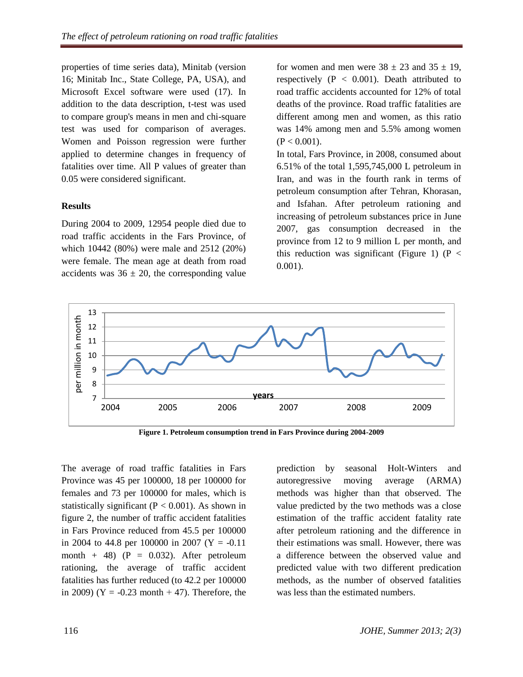properties of time series data), Minitab (version 16; Minitab Inc., State College, PA, USA), and Microsoft Excel software were used [\(17\)](#page-5-12). In addition to the data description, t-test was used to compare group's means in men and chi-square test was used for comparison of averages. Women and Poisson regression were further applied to determine changes in frequency of fatalities over time. All P values of greater than 0.05 were considered significant.

#### **Results**

During 2004 to 2009, 12954 people died due to road traffic accidents in the Fars Province, of which 10442 (80%) were male and 2512 (20%) were female. The mean age at death from road accidents was  $36 \pm 20$ , the corresponding value

for women and men were  $38 \pm 23$  and  $35 \pm 19$ , respectively  $(P < 0.001)$ . Death attributed to road traffic accidents accounted for 12% of total deaths of the province. Road traffic fatalities are different among men and women, as this ratio was 14% among men and 5.5% among women  $(P < 0.001)$ .

In total, Fars Province, in 2008, consumed about 6.51% of the total 1,595,745,000 L petroleum in Iran, and was in the fourth rank in terms of petroleum consumption after Tehran, Khorasan, and Isfahan. After petroleum rationing and increasing of petroleum substances price in June 2007, gas consumption decreased in the province from 12 to 9 million L per month, and this reduction was significant (Figure 1) ( $P <$ 0.001).



**Figure 1. Petroleum consumption trend in Fars Province during 2004-2009**

The average of road traffic fatalities in Fars Province was 45 per 100000, 18 per 100000 for females and 73 per 100000 for males, which is statistically significant ( $P < 0.001$ ). As shown in figure 2, the number of traffic accident fatalities in Fars Province reduced from 45.5 per 100000 in 2004 to 44.8 per 100000 in 2007 ( $Y = -0.11$ ) month + 48) ( $P = 0.032$ ). After petroleum rationing, the average of traffic accident fatalities has further reduced (to 42.2 per 100000 in 2009) ( $Y = -0.23$  month  $+47$ ). Therefore, the prediction by seasonal Holt-Winters and autoregressive moving average (ARMA) methods was higher than that observed. The value predicted by the two methods was a close estimation of the traffic accident fatality rate after petroleum rationing and the difference in their estimations was small. However, there was a difference between the observed value and predicted value with two different predication methods, as the number of observed fatalities was less than the estimated numbers.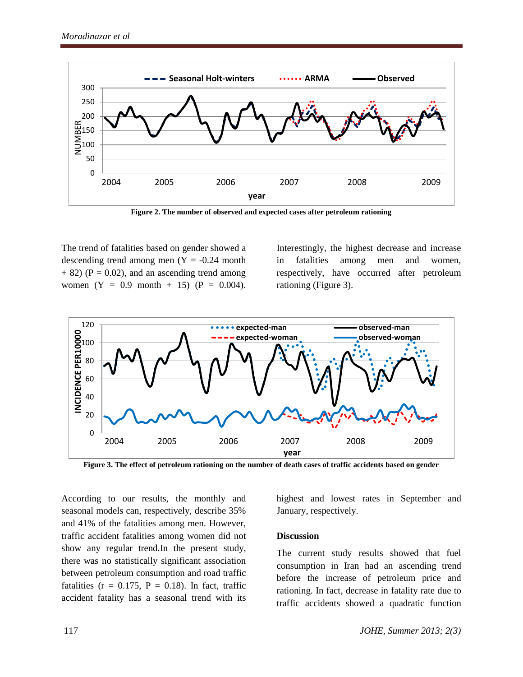

**Figure 2. The number of observed and expected cases after petroleum rationing**

The trend of fatalities based on gender showed a descending trend among men  $(Y = -0.24$  month  $+ 82$ ) (P = 0.02), and an ascending trend among women  $(Y = 0.9 \text{ month } + 15)$   $(P = 0.004)$ .

Interestingly, the highest decrease and increase in fatalities among men and women, respectively, have occurred after petroleum rationing (Figure 3).



**Figure 3. The effect of petroleum rationing on the number of death cases of traffic accidents based on gender**

According to our results, the monthly and seasonal models can, respectively, describe 35% and 41% of the fatalities among men. However, traffic accident fatalities among women did not show any regular trend.In the present study, there was no statistically significant association between petroleum consumption and road traffic fatalities ( $r = 0.175$ ,  $P = 0.18$ ). In fact, traffic accident fatality has a seasonal trend with its highest and lowest rates in September and January, respectively.

#### **Discussion**

The current study results showed that fuel consumption in Iran had an ascending trend before the increase of petroleum price and rationing. In fact, decrease in fatality rate due to traffic accidents showed a quadratic function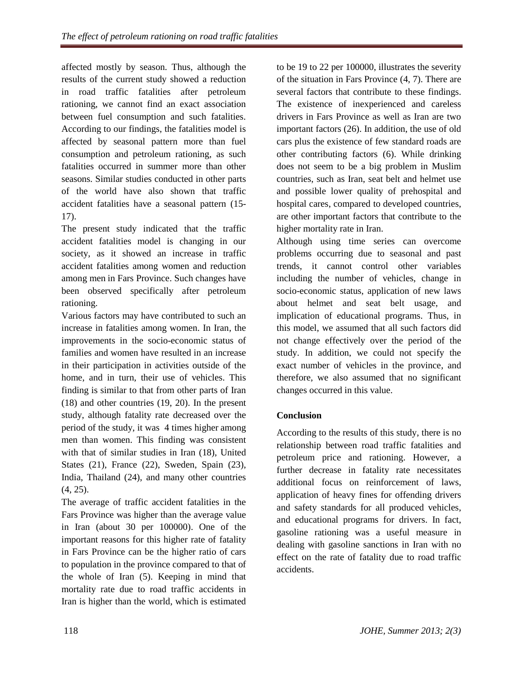affected mostly by season. Thus, although the results of the current study showed a reduction in road traffic fatalities after petroleum rationing, we cannot find an exact association between fuel consumption and such fatalities. According to our findings, the fatalities model is affected by seasonal pattern more than fuel consumption and petroleum rationing, as such fatalities occurred in summer more than other seasons. Similar studies conducted in other parts of the world have also shown that traffic accident fatalities have a seasonal pattern (15- 17).

The present study indicated that the traffic accident fatalities model is changing in our society, as it showed an increase in traffic accident fatalities among women and reduction among men in Fars Province. Such changes have been observed specifically after petroleum rationing.

Various factors may have contributed to such an increase in fatalities among women. In Iran, the improvements in the socio-economic status of families and women have resulted in an increase in their participation in activities outside of the home, and in turn, their use of vehicles. This finding is similar to that from other parts of Iran [\(18\)](#page-5-13) and other countries [\(19,](#page-5-14) [20\)](#page-5-15). In the present study, although fatality rate decreased over the period of the study, it was 4 times higher among men than women. This finding was consistent with that of similar studies in Iran [\(18\)](#page-5-13), United States [\(21\)](#page-5-16), France [\(22\)](#page-5-17), Sweden, Spain [\(23\)](#page-5-18), India, Thailand [\(24\)](#page-6-0), and many other countries [\(4,](#page-5-1) [25\)](#page-6-1).

The average of traffic accident fatalities in the Fars Province was higher than the average value in Iran (about 30 per 100000). One of the important reasons for this higher rate of fatality in Fars Province can be the higher ratio of cars to population in the province compared to that of the whole of Iran [\(5\)](#page-5-2). Keeping in mind that mortality rate due to road traffic accidents in Iran is higher than the world, which is estimated

to be 19 to 22 per 100000, illustrates the severity of the situation in Fars Province [\(4,](#page-5-1) [7\)](#page-5-19). There are several factors that contribute to these findings. The existence of inexperienced and careless drivers in Fars Province as well as Iran are two important factors [\(26\)](#page-6-2). In addition, the use of old cars plus the existence of few standard roads are other contributing factors [\(6\)](#page-5-3). While drinking does not seem to be a big problem in Muslim countries, such as Iran, seat belt and helmet use and possible lower quality of prehospital and hospital cares, compared to developed countries, are other important factors that contribute to the higher mortality rate in Iran.

Although using time series can overcome problems occurring due to seasonal and past trends, it cannot control other variables including the number of vehicles, change in socio-economic status, application of new laws about helmet and seat belt usage, and implication of educational programs. Thus, in this model, we assumed that all such factors did not change effectively over the period of the study. In addition, we could not specify the exact number of vehicles in the province, and therefore, we also assumed that no significant changes occurred in this value.

# **Conclusion**

According to the results of this study, there is no relationship between road traffic fatalities and petroleum price and rationing. However, a further decrease in fatality rate necessitates additional focus on reinforcement of laws, application of heavy fines for offending drivers and safety standards for all produced vehicles, and educational programs for drivers. In fact, gasoline rationing was a useful measure in dealing with gasoline sanctions in Iran with no effect on the rate of fatality due to road traffic accidents.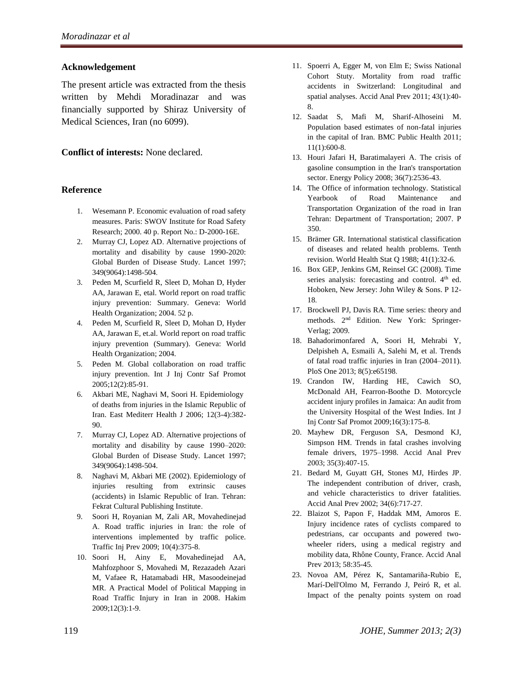#### **Acknowledgement**

The present article was extracted from the thesis written by Mehdi Moradinazar and was financially supported by Shiraz University of Medical Sciences, Iran (no 6099).

#### **Conflict of interests:** None declared.

#### **Reference**

- <span id="page-5-0"></span>1. Wesemann P. Economic evaluation of road safety measures. Paris: SWOV Institute for Road Safety Research; 2000. 40 p. Report No.: D-2000-16E.
- 2. Murray CJ, Lopez AD. Alternative projections of mortality and disability by cause 1990-2020: Global Burden of Disease Study. Lancet 1997; 349(9064):1498-504.
- 3. Peden M, Scurfield R, Sleet D, Mohan D, Hyder AA, Jarawan E, etal. World report on road traffic injury prevention: Summary. Geneva: World Health Organization; 2004. 52 p.
- <span id="page-5-1"></span>4. Peden M, Scurfield R, Sleet D, Mohan D, Hyder AA, Jarawan E, et.al. World report on road traffic injury prevention (Summary). Geneva: World Health Organization; 2004.
- <span id="page-5-2"></span>5. Peden M. Global collaboration on road traffic injury prevention. Int J Inj Contr Saf Promot 2005;12(2):85-91.
- <span id="page-5-3"></span>6. Akbari ME, Naghavi M, Soori H. Epidemiology of deaths from injuries in the Islamic Republic of Iran. East Mediterr Health J 2006; 12(3-4):382- 90.
- <span id="page-5-19"></span>7. Murray CJ, Lopez AD. Alternative projections of mortality and disability by cause 1990–2020: Global Burden of Disease Study. Lancet 1997; 349(9064):1498-504.
- 8. Naghavi M, Akbari ME (2002). Epidemiology of injuries resulting from extrinsic causes (accidents) in Islamic Republic of Iran. Tehran: Fekrat Cultural Publishing Institute.
- <span id="page-5-4"></span>9. Soori H, Royanian M, Zali AR, Movahedinejad A. Road traffic injuries in Iran: the role of interventions implemented by traffic police. Traffic Inj Prev 2009; 10(4):375-8.
- <span id="page-5-5"></span>10. Soori H, Ainy E, Movahedinejad AA, Mahfozphoor S, Movahedi M, Rezazadeh Azari M, Vafaee R, Hatamabadi HR, Masoodeinejad MR. A Practical Model of Political Mapping in Road Traffic Injury in Iran in 2008. Hakim 2009;12(3):1-9.
- <span id="page-5-6"></span>11. Spoerri A, Egger M, von Elm E; Swiss National Cohort Stuty. Mortality from road traffic accidents in Switzerland: Longitudinal and spatial analyses. Accid Anal Prev 2011; 43(1):40- 8.
- <span id="page-5-7"></span>12. Saadat S, Mafi M, Sharif-Alhoseini M. Population based estimates of non-fatal injuries in the capital of Iran. BMC Public Health 2011; 11(1):600-8.
- <span id="page-5-8"></span>13. Houri Jafari H, Baratimalayeri A. The crisis of gasoline consumption in the Iran's transportation sector. Energy Policy 2008; 36(7):2536-43.
- <span id="page-5-9"></span>14. The Office of information technology. Statistical Yearbook of Road Maintenance and Transportation Organization of the road in Iran Tehran: Department of Transportation; 2007. P 350.
- <span id="page-5-10"></span>15. Brämer GR. International statistical classification of diseases and related health problems. Tenth revision. World Health Stat Q 1988; 41(1):32-6.
- <span id="page-5-11"></span>16. Box GEP, Jenkins GM, Reinsel GC (2008). Time series analysis: forecasting and control. 4<sup>th</sup> ed. [Hoboken, New Jersey:](http://en.wikipedia.org/wiki/Hoboken,_New_Jersey) John Wiley & Sons. P 12- 18.
- <span id="page-5-12"></span>17. Brockwell PJ, Davis RA. Time series: theory and methods. 2nd Edition. New York: Springer-Verlag; 2009.
- <span id="page-5-13"></span>18. Bahadorimonfared A, Soori H, Mehrabi Y, Delpisheh A, Esmaili A, Salehi M, et al. Trends of fatal road traffic injuries in Iran (2004–2011). PloS One 2013; 8(5):e65198.
- <span id="page-5-14"></span>19. Crandon IW, Harding HE, Cawich SO, McDonald AH, Fearron-Boothe D. Motorcycle accident injury profiles in Jamaica: An audit from the University Hospital of the West Indies. Int J Inj Contr Saf Promot 2009;16(3):175-8.
- <span id="page-5-15"></span>20. Mayhew DR, Ferguson SA, Desmond KJ, Simpson HM. Trends in fatal crashes involving female drivers, 1975–1998. Accid Anal Prev 2003; 35(3):407-15.
- <span id="page-5-16"></span>21. Bedard M, Guyatt GH, Stones MJ, Hirdes JP. The independent contribution of driver, crash, and vehicle characteristics to driver fatalities. Accid Anal Prev 2002; 34(6):717-27.
- <span id="page-5-17"></span>22. Blaizot S, Papon F, Haddak MM, Amoros E. Injury incidence rates of cyclists compared to pedestrians, car occupants and powered twowheeler riders, using a medical registry and mobility data, Rhône County, France. Accid Anal Prev 2013; 58:35-45.
- <span id="page-5-18"></span>23. Novoa AM, Pérez K, Santamariña-Rubio E, Marí-Dell'Olmo M, Ferrando J, Peiró R, et al. Impact of the penalty points system on road